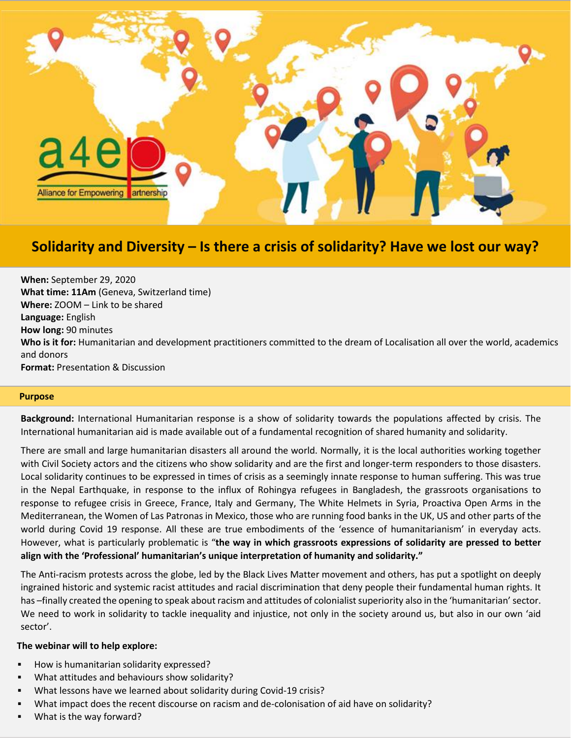

# **Solidarity and Diversity – Is there a crisis of solidarity? Have we lost our way?**

**When:** September 29, 2020 **What time: 11Am** (Geneva, Switzerland time) **Where:** ZOOM – Link to be shared **Language:** English **How long:** 90 minutes **Who is it for:** Humanitarian and development practitioners committed to the dream of Localisation all over the world, academics and donors **Format:** Presentation & Discussion

## **Purpose**

**Background:** International Humanitarian response is a show of solidarity towards the populations affected by crisis. The International humanitarian aid is made available out of a fundamental recognition of shared humanity and solidarity.

There are small and large humanitarian disasters all around the world. Normally, it is the local authorities working together with Civil Society actors and the citizens who show solidarity and are the first and longer-term responders to those disasters. Local solidarity continues to be expressed in times of crisis as a seemingly innate response to human suffering. This was true in the Nepal Earthquake, in response to the influx of Rohingya refugees in Bangladesh, the grassroots organisations to response to refugee crisis in Greece, France, Italy and Germany, The White Helmets in Syria, Proactiva Open Arms in the Mediterranean, the Women of Las Patronas in Mexico, those who are running food banks in the UK, US and other parts of the world during Covid 19 response. All these are true embodiments of the 'essence of humanitarianism' in everyday acts. However, what is particularly problematic is "**the way in which grassroots expressions of solidarity are pressed to better align with the 'Professional' humanitarian's unique interpretation of humanity and solidarity."** 

The Anti-racism protests across the globe, led by the Black Lives Matter movement and others, has put a spotlight on deeply ingrained historic and systemic racist attitudes and racial discrimination that deny people their fundamental human rights. It has –finally created the opening to speak about racism and attitudes of colonialist superiority also in the 'humanitarian' sector. We need to work in solidarity to tackle inequality and injustice, not only in the society around us, but also in our own 'aid sector'.

## **The webinar will to help explore:**

- How is humanitarian solidarity expressed?
- What attitudes and behaviours show solidarity?
- What lessons have we learned about solidarity during Covid-19 crisis?
- What impact does the recent discourse on racism and de-colonisation of aid have on solidarity?
- What is the way forward?